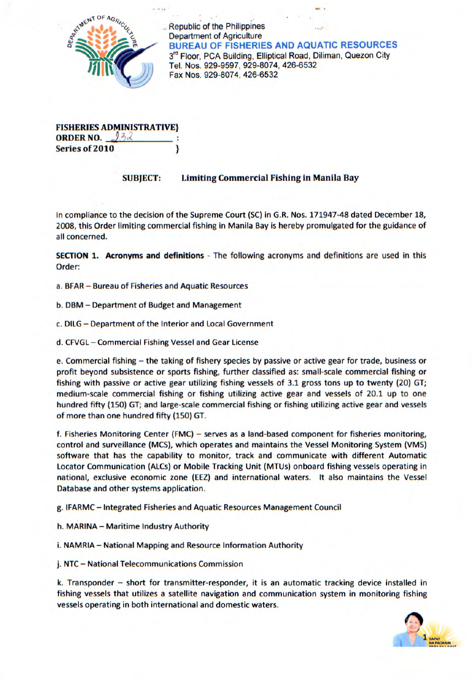

Republic of the Philippines Department of Agriculture BUREAU OF FISHERIES AND AQUATIC RESOURCES 3<sup>rd</sup> Floor, PCA Building, Elliptical Road, Diliman, Quezon City BUREAU OF FISHERIES AND AQU<br>
3<sup>rd</sup> Floor, PCA Building, Elliptical Road, D<br>
Tel. Nos. 929-9597, 929-8074, 426-6532<br>
Fax Nos. 929-8074, 426-6532

| <b>FISHERIES ADMINISTRATIVE}</b> |  |
|----------------------------------|--|
| <b>ORDER NO.</b> $132$           |  |
| <b>Series of 2010</b>            |  |

## **SUBJECT: Limiting Commercial Fishing in Manila Bay**

In compliance to the decision of the Supreme Court (SC) in G.R. Nos. 171947-48 dated December 18, 2008, this Order limiting commercial fishing in Manila Bay is hereby promulgated for the guidance of all concerned.

**SECTION 1. Acronyms and definitions** - The following acronyms and definitions are used in this Order:

- a. BEAR Bureau of Fisheries and Aquatic Resources
- b. DBM Department of Budget and Management
- c. DILG Department of the Interior and Local Government
- d. CFVGL Commercial Fishing Vessel and Gear License

e. Commercial fishing - the taking of fishery species by passive or active gear for trade, business or profit beyond subsistence or sports fishing, further classified as: small-scale commercial fishing or fishing with passive or active gear utilizing fishing vessels of 3.1 gross tons up to twenty (20) GT; medium-scale commercial fishing or fishing utilizing active gear and vessels of 20.1 up to one hundred fifty (150) GT; and large-scale commercial fishing or fishing utilizing active gear and vessels of more than one hundred fifty (150) GT.

f. Fisheries Monitoring Center (FMC) - serves as a land-based component for fisheries monitoring, control and surveillance (MCS), which operates and maintains the Vessel Monitoring System (VMS) software that has the capability to monitor, track and communicate with different Automatic Locator Communication (ALCs) or Mobile Tracking Unit (MTU5) onboard fishing vessels operating in national, exclusive economic zone (EEZ) and international waters. It also maintains the Vessel Database and other systems application.

g. IFARMC - Integrated Fisheries and Aquatic Resources Management Council

h. MARINA— Maritime Industry Authority

i. NAMRIA - National Mapping and Resource Information Authority

j. NTC - National Telecommunications Commission

k. Transponder - short for transmitter-responder, it is an automatic tracking device installed in fishing vessels that utilizes a satellite navigation and communication system in monitoring fishing vessels operating in both international and domestic waters.

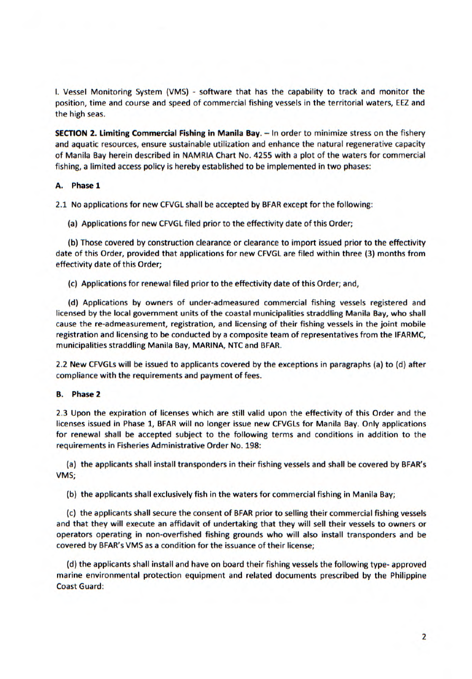I. Vessel Monitoring System (VMS) - software that has the capability to track and monitor the position, time and course and speed of commercial fishing vessels in the territorial waters, EEZ and the high seas.

**SECTION 2. Limiting Commercial Fishing in** Manila **Bay.** - In order to minimize stress on the fishery and aquatic resources, ensure sustainable utilization and enhance the natural regenerative capacity of Manila Bay herein described in NAMRIA Chart No. 4255 with a plot of the waters for commercial fishing, a limited access policy is hereby established to be implemented in two phases:

## A. **Phase 1**

2.1 No applications for new CFVGL shall be accepted by BFAR except for the following:

(a) Applications for new CFVGL filed prior to the effectivity date of this Order;

(b) Those covered by construction clearance or clearance to import issued prior to the effectivity date of this Order, provided that applications for new CFVGL are filed within three (3) months from effectivity date of this Order;

(c) Applications for renewal filed prior to the effectivity date of this Order; and,

(d) Applications by owners of under-admeasured commercial fishing vessels registered and licensed by the local government units of the coastal municipalities straddling Manila Bay, who shall cause the re-admeasurement, registration, and licensing of their fishing vessels in the joint mobile registration and licensing to be conducted by a composite team of representatives from the IFARMC, municipalities straddling Manila Bay, MARINA, NTC and BFAR.

2.2 New CFVGLs will be issued to applicants covered by the exceptions in paragraphs (a) to (d) after compliance with the requirements and payment of fees.

## **B. Phase 2**

2.3 Upon the expiration of licenses which are still valid upon the effectivity of this Order and the licenses issued in Phase 1, BEAR will no longer issue new CFVGL5 for Manila Bay. Only applications for renewal shall be accepted subject to the following terms and conditions in addition to the requirements in Fisheries Administrative Order No. 198:

(a) the applicants shall install transponders in their fishing vessels and shall be covered by BFAR's VMS;

(b) the applicants shall exclusively fish in the waters for commercial fishing in Manila Bay;

(c) the applicants shall secure the consent of BFAR prior to selling their commercial fishing vessels and that they will execute an affidavit of undertaking that they will sell their vessels to owners or operators operating in non-overfished fishing grounds who will also install transponders and be covered by BEAR's VMS as a condition for the issuance of their license;

(d) the applicants shall install and have on board their fishing vessels the following type- approved marine environmental protection equipment and related documents prescribed by the Philippine Coast Guard: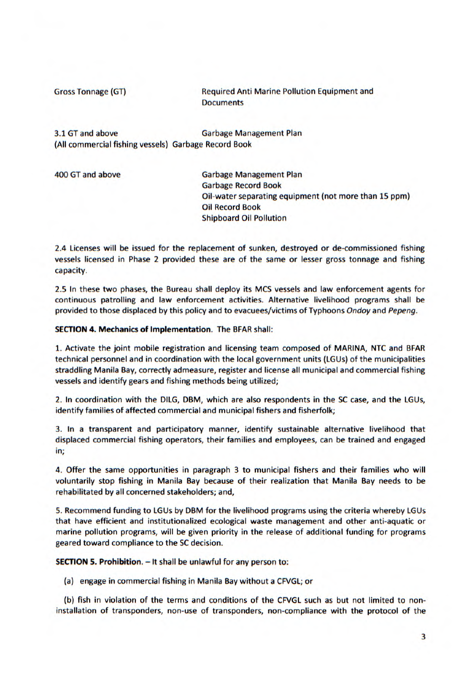Gross Tonnage (GT) Required Anti Marine Pollution Equipment and **Documents** 

3.1 GT and above Garbage Management Plan (All commercial fishing vessels) Garbage Record Book

400 GT and above Garbage Management Plan Garbage Record Book Oil-water separating equipment (not more than 15 ppm) Oil Record Book Shipboard Oil Pollution

2.4 Licenses will be issued for the replacement of sunken, destroyed or de-commissioned fishing vessels licensed in Phase 2 provided these are of the same or lesser gross tonnage and fishing capacity.

2.5 In these two phases, the Bureau shall deploy its MCS vessels and law enforcement agents for continuous patrolling and law enforcement activities. Alternative livelihood programs shall be provided to those displaced by this policy and to evacuees/victims of Typhoons *Ondoy* and *Pepeng.* 

**SECTION 4. Mechanics of Implementation.** The BFAR shall:

1. Activate the joint mobile registration and licensing team composed of MARINA, NTC and BFAR technical personnel and in coordination with the local government units (LGUs) of the municipalities straddling Manila Bay, correctly admeasure, register and license all municipal and commercial fishing vessels and identify gears and fishing methods being utilized;

2. In coordination with the DILG, DBM, which are also respondents in the SC case, and the LGUs, identify families of affected commercial and municipal fishers and fisherfolk;

3. In a transparent and participatory manner, identify sustainable alternative livelihood that displaced commercial fishing operators, their families and employees, can be trained and engaged in;

4. Offer the same opportunities in paragraph 3 to municipal fishers and their families who will voluntarily stop fishing in Manila Bay because of their realization that Manila Bay needs to be rehabilitated by all concerned stakeholders; and,

5. Recommend funding to LGUs by DBM for the livelihood programs using the criteria whereby LGUs that have efficient and institutionalized ecological waste management and other anti-aquatic or marine pollution programs, will be given priority in the release of additional funding for programs geared toward compliance to the SC decision.

**SECTION 5. Prohibition.** - It shall be unlawful for any person to:

(a) engage in commercial fishing in Manila Bay without a CFVGL; or

(b) fish in violation of the terms and conditions of the CFVGL such as but not limited to noninstallation of transponders, non-use of transponders, non-compliance with the protocol of the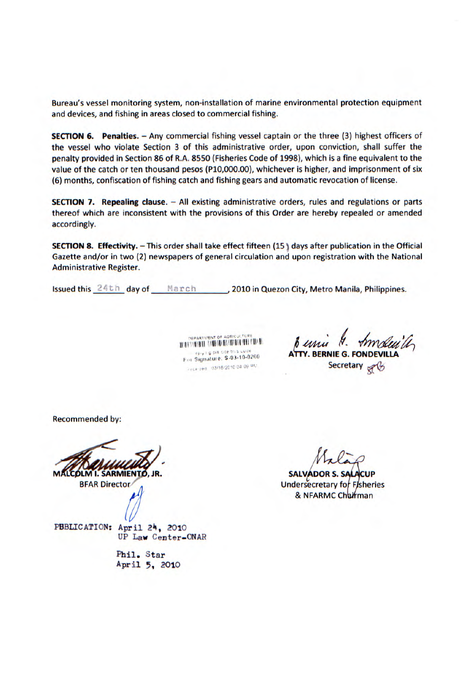Bureau's vessel monitoring system, non-installation of marine environmental protection equipment and devices, and fishing in areas closed to commercial fishing.

**SECTION 6.** Penalties. - Any commercial fishing vessel captain or the three (3) highest officers of the vessel who violate Section 3 of this administrative order, upon conviction, shall suffer the penalty provided in Section 86 of R.A. 8550 (Fisheries Code of 1998), which is a fine equivalent to the value of the catch or ten thousand pesos (P10,000.00), whichever is higher, and imprisonment of six (6) months, confiscation of fishing catch and fishing gears and automatic revocation of license.

**SECTION 7. Repealing clause.** - All existing administrative orders, rules and regulations or parts thereof which are inconsistent with the provisions of this Order are hereby repealed or amended accordingly.

**SECTION 8. Effectivity.** - This order shall take effect fifteen (15) days after publication in the Official Gazette and/or in two (2) newspapers of general circulation and upon registration with the National Administrative Register.

Issued this 24th day of March , 2010 in Quezon City, Metro Manila, Philippines.

**DEPARTMENT OF AGRICULTURE** veck ved 03/16/2010 04 09 PM

A<sup>'</sup>ITY. BERNIE G. FOND<del>I</del> **1 SIGNAL STATES OF ASSECUTE PUBLIC PROPERTY ATTY. BERNIE G. FONDEV**<br>
For Signature: \$-03-10-0260<br> **1 Secretary** 

Recommended by:

**SARMIENTO,** 

BFAR Director

PBBLICATION: April 24, 2010

UP Law Center—ONAR

Phil. star April 5, 2010

**SALVADOR S.S** Undersecretary for Fisheries & NFARMC Charman